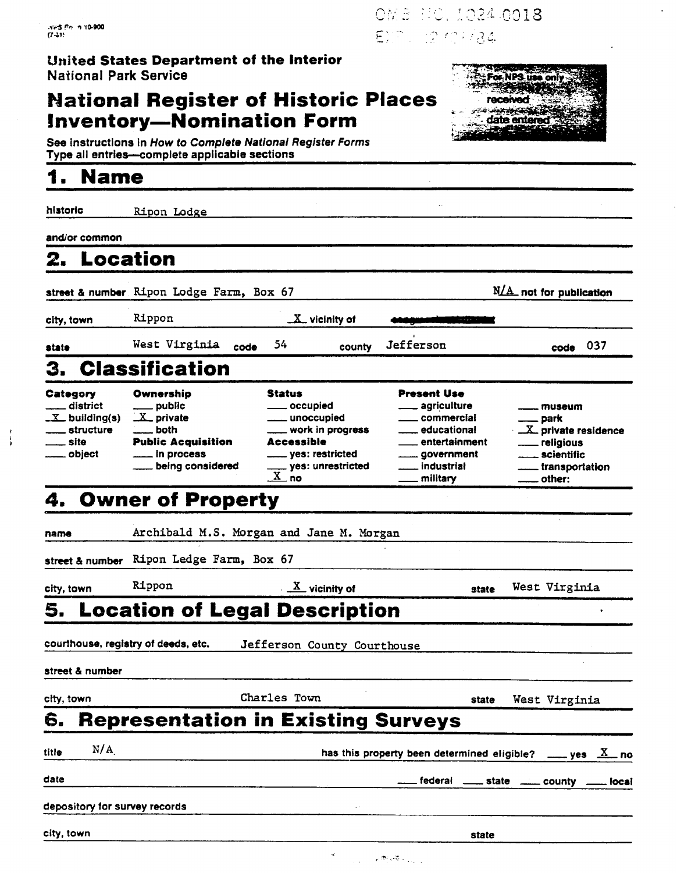### **United States Department of the Interior National Park Service**

# **National Register of Historic Places Inventory-Nomination Form**



See instructions in How to Complete National Register Forms Type all entries-complete applicable sections

# **1 Name** -

historic **Ripon Lodge** 

and/or common

# **2. Location**

**2.** Location<br>street & number Ripon Lodge Farm, Box 67 **and Tangle 10** and for publication <u>X</u> vicinity of

code **037** 

cltv. town state

**Rippon** 

**West Virginia** code **54** 

**Jefferson** 

county

| 3.                                                                                           | <b>Classification</b>                                                                                                                      |                                                                                                                                                                   |                                                                                                                                                                    |                                                                                                                                                                        |
|----------------------------------------------------------------------------------------------|--------------------------------------------------------------------------------------------------------------------------------------------|-------------------------------------------------------------------------------------------------------------------------------------------------------------------|--------------------------------------------------------------------------------------------------------------------------------------------------------------------|------------------------------------------------------------------------------------------------------------------------------------------------------------------------|
| Category<br><u>__</u> __ district<br>$X$ building(s)<br>__ structure<br>—— site<br>__ object | Ownership<br>____ public<br>$X$ private<br>$\frac{1}{2}$ both<br><b>Public Acquisition</b><br>$\frac{1}{2}$ in process<br>being considered | <b>Status</b><br><u>_</u> __ occupied<br>____ unoccupied<br>___ work in progress<br><b>Accessible</b><br>_____ yes: restricted<br>$\frac{1}{x}$ yes: unrestricted | <b>Present Use</b><br>____ agriculture<br><u>__</u> educational<br><u>__</u> entertainment<br>_____ government<br><u>__</u> __ industrial<br><u>_</u> ___ military | <sub>——</sub> museum<br><u>_</u> __ park<br>X private residence<br><u>_</u> ___ religious<br><u></u> scientific<br>_____ transportation<br>$\rule{1em}{0.15mm}$ other: |

# **4. Owner of Property**

name **Archibald** M.S. **Morgan and Jane M. Morgan** 

city, town **Rippon M** *x* vicinity of state West Virginia

# street & number Ripon Ledge Farm, Box 67<br>
city, town Rippon<br> **5. Location of Legal Description**<br>
courthouse, registry of deeds, etc. Jefferson County Courtho

**Jefferson County Courthouse** 

street & numbar

city, town **Charles Town state West Virginia** 

| CILY, LOWN |                               | VILLLES IVAIL                             |                                                             | state | west virginia |  |
|------------|-------------------------------|-------------------------------------------|-------------------------------------------------------------|-------|---------------|--|
| 6.         |                               | <b>Representation in Existing Surveys</b> |                                                             |       |               |  |
| title      | N/A                           |                                           | has this property been determined eligible? ____ yes $X$ no |       |               |  |
| date       |                               |                                           | ___ federal ____ state ____ county ____ local               |       |               |  |
|            | depository for survey records | $\cdot$ $\cdot$                           |                                                             |       |               |  |
| city, town |                               |                                           |                                                             | state |               |  |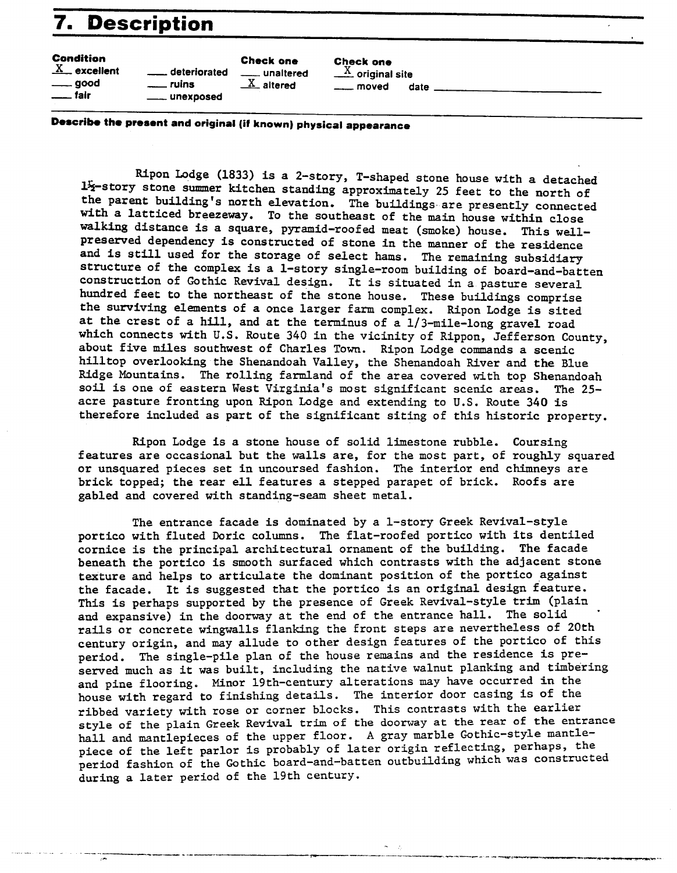# **7. Description example in the Check one**<br> **excellent** - **deteriorated** - **unaltered**  $\frac{X}{x}$  original site **good** - *unins*  $\frac{X}{x}$  altered  $\frac{X}{x}$  altered

**Condition Check one Check one**<br><u>X</u> excellent \_\_\_\_\_\_ deteriorated \_\_\_\_\_ unaltered \_\_\_\_ X original site - **good** - **ruins** X **altered moved date Condition**<br><u>X</u> excellent <u>- deteriorated</u><br>- good - ruins<br>- fair - unexposed

**Dercribm the present and original (it known) physical appearance** 

Ripon Lodge (1833) is a 2-story, T-shaped stone house with a detached 1<sup>1</sup>/<sub>2</sub>-story stone summer kitchen standing approximately 25 feet to the north of the parent building's north elevation. The buildings. are presently connected with a latticed breezeway. To the southeast of the main house within close **walking** distance is a square, pyramid-roofed meat (smoke) house. This well- preserved dependency is constructed of stone in the manner of the residence and is still used for the storage of select hams. The remaining subsidiarg structure of the complex is a 1-story single-room building of board-and-batten construction of Gothic Revival design. It is situated in a pasture several hundred feet to the northeast of the stone house. These buildings comprise the surviving elements of a once larger farm complex. Ripon Lodge is sited at the crest of a hill, and at the terminus of a 1/3-mile-long gravel road which connects with U.S. Route 340 in the vicinity of Rippon, Jefferson County, about five miles southwest of Charles Town. Ripon Lodge commands a scenic hilltop overlooking the Shenandoah Valley, the Shenandoah River and the Blue Ridge Mountains. The rolling farmland of the area covered with top Shenandoah soil is one of eastern West Virginia's most significant scenic areas. The 25acre pasture fronting upon Ripon Lodge and extending to U.S. Route *340* is therefore included as part of the significant siting of this historic property.

Ripon Lodge is a stone house of solid limestone rubble. Coursing features are occasional but the walls are, for the most part, of roughly squared or unsquared pieces set in uncoursed fashion. The interior end chimneys are brick topped; the rear *ell* features a stepped parapet of brick. Roofs are gabled and covered with standing-seam sheet metal.

The entrance facade is dominated by a 1-story Greek Revival-style portico with fluted Doric columns. The flat-roofed portico with its dentiled cornice is the principal architectural ornament of the building. The facade beneath the portico is smooth surfaced which contrasts with the adjacent stone texture and helps to articulate the dominant position of the portico against the facade. It is suggested that the portico is an original design feature. This is perhaps supported by the presence of Greek Revival-style trim (plain and expansive) in the doorway at the end of the entrance hall. The solid rails or concrete wingwalls flanking the front steps are nevertheless of 20th century origin, and may allude to other design features of the portico of this period. The single-pile plan of the house remains and the residence is preserved much as it was built, including the native walnut planking and timbering and pine flooring. Minor 19th-century alterations may have occurred in the house with regard to finishing details. The interior door casing is of the ribbed variety with rose or corner blocks. This contrasts with the earlier style of the plain Greek Revival trim of the doorway at the rear of the entrance hall and mantlepieces of the upper floor. **A** gray marble Gothic-style mantlepiece of the left parlor is probably of later origin reflecting, perhaps, the period fashion of the Gothic board-and-batten outbuilding which was constructed during a later period of the 19th century.

 $\sigma = \sigma$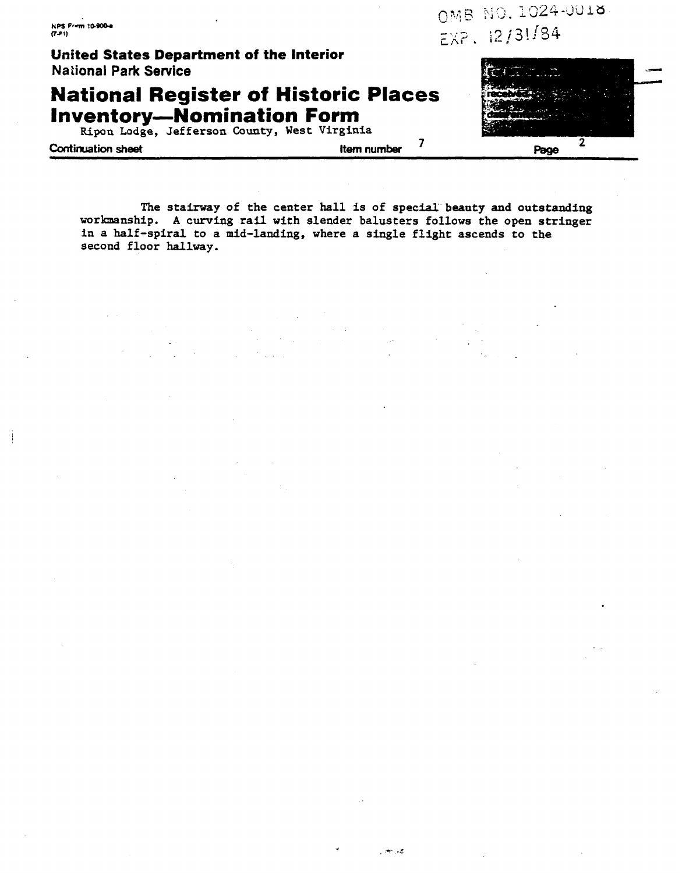**KPS Frim 10-900-a**  $(7 - 1)$ 

**United States Department of the Interior National Park Service** 

**National Register of Historic Places<br>Inventory—Nomination Form<br>Ripon Lodge, Jefferson County, West Virginia** 

**Continuation sheet Let us a continuation sheet** *Page* **Page Page Page Page Page Page Page Page Page Page Page Page Page Page Page Page Page Page Page Page Page Page Page**

 $100.45$ 

OMB NO. 1024-0018  $EXP. 12/31/84$ 

The stairway of the center hall is of special beauty and outstanding **workmanship. A curving rail with slender balusters follows the open stringer in a half-spiral to a mid-landing, where a single flight ascends to the second floor hallway.**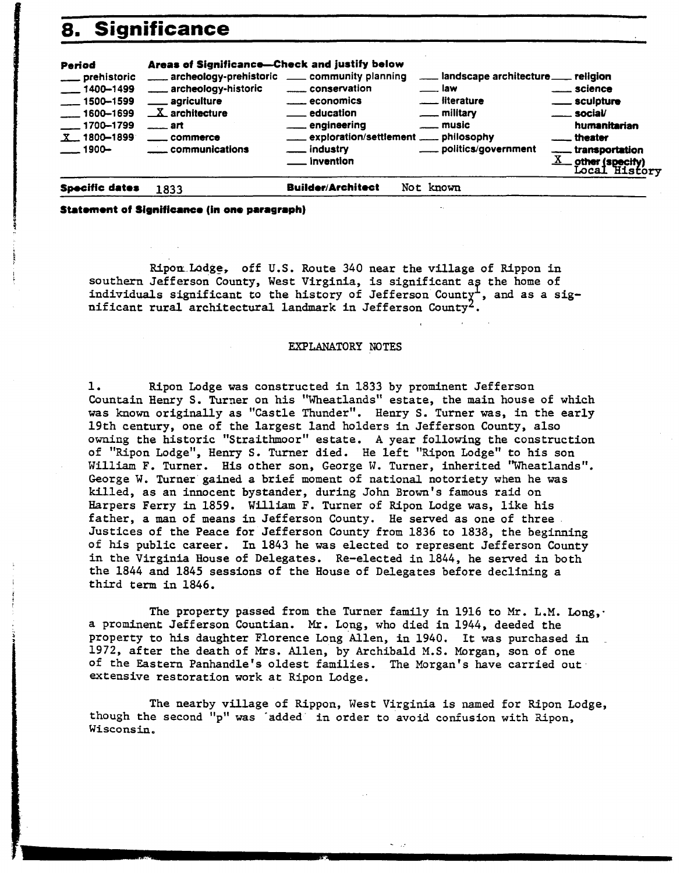| 8.                                                                                                                     | <b>Significance</b>                                                                                                                                                                                                                   |                                                                                                                                                         |                                                                                                                                                      |                                                                                                                                                                                  |
|------------------------------------------------------------------------------------------------------------------------|---------------------------------------------------------------------------------------------------------------------------------------------------------------------------------------------------------------------------------------|---------------------------------------------------------------------------------------------------------------------------------------------------------|------------------------------------------------------------------------------------------------------------------------------------------------------|----------------------------------------------------------------------------------------------------------------------------------------------------------------------------------|
| Period<br>prehistoric<br>$-1400 - 1499$<br>$-1500 - 1599$<br>$-1600 - 1699$<br>__ 1700--1799<br>$X$ 1800-1899<br>1900- | Areas of Significance-Check and justify below<br>archeology-prehistoric __ community planning<br>archeology-historic<br><u>__</u> __ agriculture<br>$X$ architecture<br>$-$ art<br><u>__</u> __ commerce<br><u>___</u> communications | conservation<br>economics<br><u>__</u> education<br><u>__</u> __ engineering<br>___ exploration/settlement ___ philosophy<br>__ industry<br>_ invention | landscape architecture ___ religion<br><u>__</u> __ law<br><u>__</u> _ literature<br><u>_</u> __ military<br><u>_</u> _ music<br>politics/government | <u>___</u> __ science<br><u>__</u> sculpture<br><u>__</u> __ social/<br>humanitarian<br><u>__</u> theater<br>transportation.<br>$\underline{X}$ other (specify)<br>Local History |
| Specific dates                                                                                                         | 1833                                                                                                                                                                                                                                  | <b>Builder/Architect</b>                                                                                                                                | Not known                                                                                                                                            |                                                                                                                                                                                  |

### **Statmont of Significance (in one paragraph)**

t

Ripon Lodge, off U.S. Route 340 near the village of Rippon in southern Jefferson County, West Virginia, is significant as the home of individuals significant to the history of Jefferson County<sup>1</sup>, and as a sig-<br>nificant rural architectural landmark in Jefferson County<sup>2</sup>.

### EXPLANATORY NOTES

1. Ripon Lodge was constructed in 1833 by prominent Jefferson Countain Henry S. Turner on his "Wheatlands" estate, the main house of which was known originally as "Castle Thunder". Henry S. Turner was, in the early 19th century, one of the largest land holders **in** Jefferson County, also owning the historic "Straithmoor" estate. **A** year following the construction of "Ripon Lodge", Henry S. Turner died. He left "Ripon Lodge" to his son William F. Turner. His other son, George W. Turner, inherited "Wheatlands". George **W.** Turner'gained a brief moment of national notoriety when he was killed, as an innocent bystander, during John Brown's famous raid on Harpers Ferry in 1859. William F. Turner of Ripon Lodge was, like his father, a man of means in Jefferson County. He served as one of three Justices of the Peace for Jefferson County from 1836 to 1838, the beginning of his public career. In 1843 he was elected to represent Jefferson County in the Virginia House of Delegates. Re-elected in 1844, he served in both the 1844 and 1845 sessions of the House of Delegates before declining a third term in 1846.

The property passed from the Turner family in 1916 to *Mr.* **L.M.** Long,. a prominent Jefferson Countian. *Mr.* Long, who died in 1944, deeded the property to his daughter Florence Long Allen, in 1940. It was purchased in 1972, after the death of Mrs. Allen, by Archibald M.S. Morgan, son of one of the Eastern Panhandle's oldest families. The Morgan's have carried out extensive restoration work at Ripon Lodge.

The nearby village of Rippon, West Virginia is named for Ripon Lodge, though the second "p" was added in order to avoid confusion with Ripon, Wisconsin.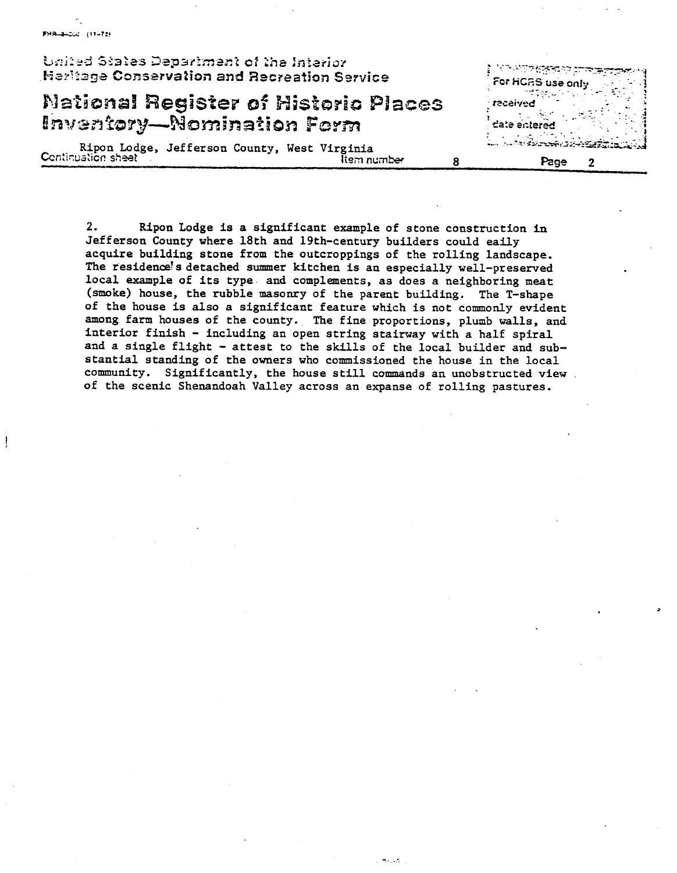| United States Department of the Interior<br><b>Heritage Conservation and Recreation Service</b> | ्रियो अधिक विक्रिक्स पर देखिका विकास करने थे।<br>For HCRS use only a control of          |
|-------------------------------------------------------------------------------------------------|------------------------------------------------------------------------------------------|
| <b>National Register of Historic Places</b><br>Inventory—Nomination Form                        | <b>beviscer</b><br>$\begin{minipage}{.4\linewidth} \textbf{date entered} \end{minipage}$ |
| Ripon Lodge, Jefferson County, West Virginia<br>Continuation sheet<br>ltem number               | A PARTICIPAL AND PROPERTY OF A REAL PROPERTY.<br>Page                                    |

FHR-8-200 (11-73)

┦

**2.** Ripon Lodge is a significant example of stone construction **in**  Jefferson County where 18th and 19th-century builders could eaily acquire building stone from the outcroppings of the rolling landscape. The residence's detached summer kitchen is an especially well-preserved local example of its type and complements, as does a neighboring meat (smoke) house, the rubble masonry of the parent building. The T-shape of the house is also a significant feature which is not commonly evident among farm houses of the county. The fine proportions, plumb walls, and interior finish - including an open string stairway with a half spiral and a single flight - attest to the skills of the local builder and substantial standing of the owners who commissioned the house in the local community. Significantly, the house still commands an unobstructed view of the scenic Shenandoah Valley across an expanse of rolling pastures.

 $\mathcal{P}_\text{max}$  and  $\mathcal{P}_\text{max}$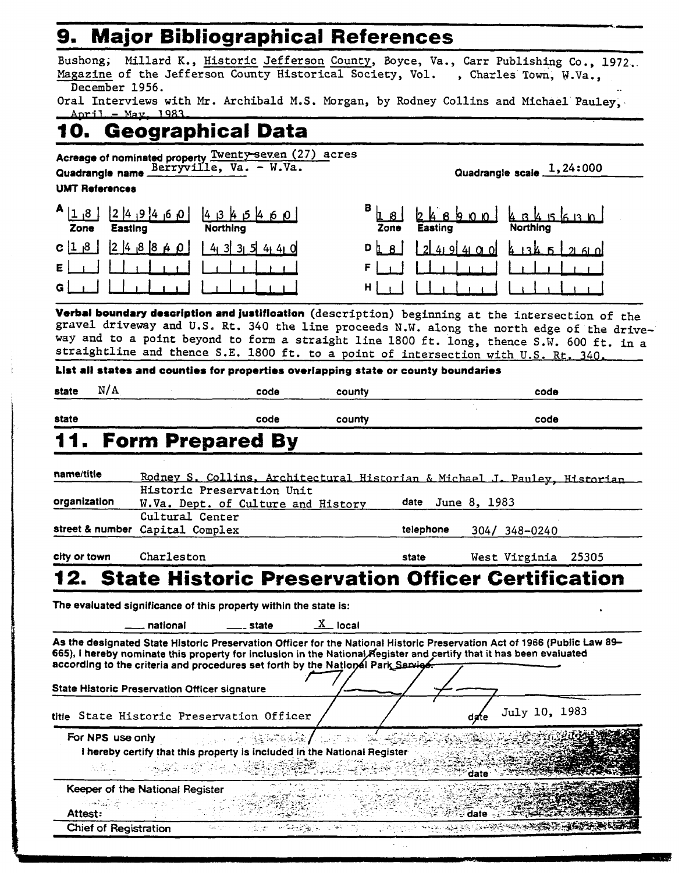# **9. Major Bibliographical References**

|                                                      |                                                       |                                                                                                  |                                                                                    | Bushong, Millard K., Historic Jefferson County, Boyce, Va., Carr Publishing Co., 1972.                                                                                                                                                          |               |
|------------------------------------------------------|-------------------------------------------------------|--------------------------------------------------------------------------------------------------|------------------------------------------------------------------------------------|-------------------------------------------------------------------------------------------------------------------------------------------------------------------------------------------------------------------------------------------------|---------------|
|                                                      |                                                       |                                                                                                  |                                                                                    | Magazine of the Jefferson County Historical Society, Vol., Charles Town, W.Va.,                                                                                                                                                                 |               |
| December 1956.                                       |                                                       |                                                                                                  |                                                                                    |                                                                                                                                                                                                                                                 |               |
| April - May, 1983.                                   |                                                       |                                                                                                  |                                                                                    | Oral Interviews with Mr. Archibald M.S. Morgan, by Rodney Collins and Michael Pauley.                                                                                                                                                           |               |
|                                                      |                                                       | 10. Geographical Data                                                                            |                                                                                    |                                                                                                                                                                                                                                                 |               |
|                                                      |                                                       |                                                                                                  |                                                                                    |                                                                                                                                                                                                                                                 |               |
|                                                      |                                                       | Acreage of nominated property Twenty-seven (27) acres<br>Quadrangie name Berryville, Va. - W.Va. |                                                                                    | Quadrangle scale 1, 24:000                                                                                                                                                                                                                      |               |
| <b>UMT References</b>                                |                                                       |                                                                                                  |                                                                                    |                                                                                                                                                                                                                                                 |               |
|                                                      |                                                       |                                                                                                  |                                                                                    |                                                                                                                                                                                                                                                 |               |
| $A$   $1, 8$<br>Easting<br>Zone                      |                                                       | $249460$ $424342$<br><b>Northing</b>                                                             | Zone                                                                               | $900 \, 4345$ 630<br><b>Easting</b>                                                                                                                                                                                                             |               |
| C 1 8                                                | $\begin{bmatrix} 2 & 4 & 8 & 8 & 4 & 0 \end{bmatrix}$ | 4335440                                                                                          | $D$ $\lfloor$ $B$ $\rfloor$                                                        | $249400$ $135520$                                                                                                                                                                                                                               |               |
|                                                      |                                                       |                                                                                                  | F                                                                                  |                                                                                                                                                                                                                                                 |               |
|                                                      |                                                       |                                                                                                  |                                                                                    |                                                                                                                                                                                                                                                 |               |
|                                                      |                                                       |                                                                                                  | H.                                                                                 |                                                                                                                                                                                                                                                 |               |
|                                                      |                                                       |                                                                                                  |                                                                                    | Verbal boundary description and justification (description) beginning at the intersection of the                                                                                                                                                |               |
|                                                      |                                                       |                                                                                                  |                                                                                    | gravel driveway and U.S. Rt. 340 the line proceeds N.W. along the north edge of the drive-                                                                                                                                                      |               |
|                                                      |                                                       |                                                                                                  |                                                                                    | way and to a point beyond to form a straight line 1800 ft. long, thence S.W. 600 ft. in a                                                                                                                                                       |               |
|                                                      |                                                       |                                                                                                  |                                                                                    | straightline and thence S.E. 1800 ft. to a point of intersection with U.S. Rt. 340.                                                                                                                                                             |               |
|                                                      |                                                       |                                                                                                  | List all states and counties for properties overlapping state or county boundaries |                                                                                                                                                                                                                                                 |               |
| N/A<br>state                                         |                                                       | code                                                                                             | county                                                                             |                                                                                                                                                                                                                                                 | code          |
| state                                                |                                                       | code                                                                                             | county                                                                             |                                                                                                                                                                                                                                                 | code          |
|                                                      |                                                       |                                                                                                  |                                                                                    |                                                                                                                                                                                                                                                 |               |
|                                                      |                                                       | <b>Form Prepared By</b>                                                                          |                                                                                    |                                                                                                                                                                                                                                                 |               |
|                                                      |                                                       |                                                                                                  |                                                                                    |                                                                                                                                                                                                                                                 |               |
|                                                      |                                                       |                                                                                                  |                                                                                    |                                                                                                                                                                                                                                                 |               |
| name/title                                           |                                                       |                                                                                                  |                                                                                    |                                                                                                                                                                                                                                                 |               |
|                                                      |                                                       | Historic Preservation Unit                                                                       |                                                                                    | Rodney S. Collins, Architectural Historian & Michael J. Pauley, Historian                                                                                                                                                                       |               |
| organization                                         |                                                       | W.Va. Dept. of Culture and History                                                               |                                                                                    | June 8, 1983<br>date                                                                                                                                                                                                                            |               |
|                                                      | Cultural Center                                       |                                                                                                  |                                                                                    |                                                                                                                                                                                                                                                 |               |
| street & number Capital Complex                      |                                                       |                                                                                                  |                                                                                    | telephone<br>304/ 348-0240                                                                                                                                                                                                                      |               |
| city or town                                         | Charleston                                            |                                                                                                  |                                                                                    | West Virginia<br>state                                                                                                                                                                                                                          | 25305         |
|                                                      |                                                       |                                                                                                  |                                                                                    | <b>12. State Historic Preservation Officer Certification</b>                                                                                                                                                                                    |               |
|                                                      |                                                       | The evaluated significance of this property within the state is:                                 |                                                                                    |                                                                                                                                                                                                                                                 |               |
|                                                      | national                                              | <sub>——</sub> state                                                                              | $X$ local                                                                          |                                                                                                                                                                                                                                                 |               |
|                                                      |                                                       |                                                                                                  |                                                                                    |                                                                                                                                                                                                                                                 |               |
|                                                      |                                                       |                                                                                                  |                                                                                    | As the designated State Historic Preservation Officer for the National Historic Preservation Act of 1966 (Public Law 89-<br>665), I hereby nominate this property for inclusion in the National Fegister and certify that it has been evaluated |               |
|                                                      |                                                       |                                                                                                  | according to the criteria and procedures set forth by the National Park Sarvies    |                                                                                                                                                                                                                                                 |               |
|                                                      |                                                       |                                                                                                  |                                                                                    |                                                                                                                                                                                                                                                 |               |
| <b>State Historic Preservation Officer signature</b> |                                                       |                                                                                                  |                                                                                    |                                                                                                                                                                                                                                                 |               |
|                                                      |                                                       | title State Historic Preservation Officer                                                        |                                                                                    | date                                                                                                                                                                                                                                            | July 10, 1983 |
| For NPS use only                                     |                                                       |                                                                                                  |                                                                                    |                                                                                                                                                                                                                                                 |               |
|                                                      |                                                       |                                                                                                  | I hereby certify that this property is included in the National Register           |                                                                                                                                                                                                                                                 |               |
|                                                      |                                                       |                                                                                                  |                                                                                    | date                                                                                                                                                                                                                                            |               |
| Keeper of the National Register                      |                                                       |                                                                                                  |                                                                                    |                                                                                                                                                                                                                                                 |               |
| sm Raaki om                                          |                                                       |                                                                                                  |                                                                                    |                                                                                                                                                                                                                                                 |               |
| Attest:<br>Chief of Registration                     |                                                       | $\mathcal{L}_{\text{QCD}} \simeq \mathcal{N}$                                                    |                                                                                    | ⊕date ⊹.                                                                                                                                                                                                                                        |               |

.-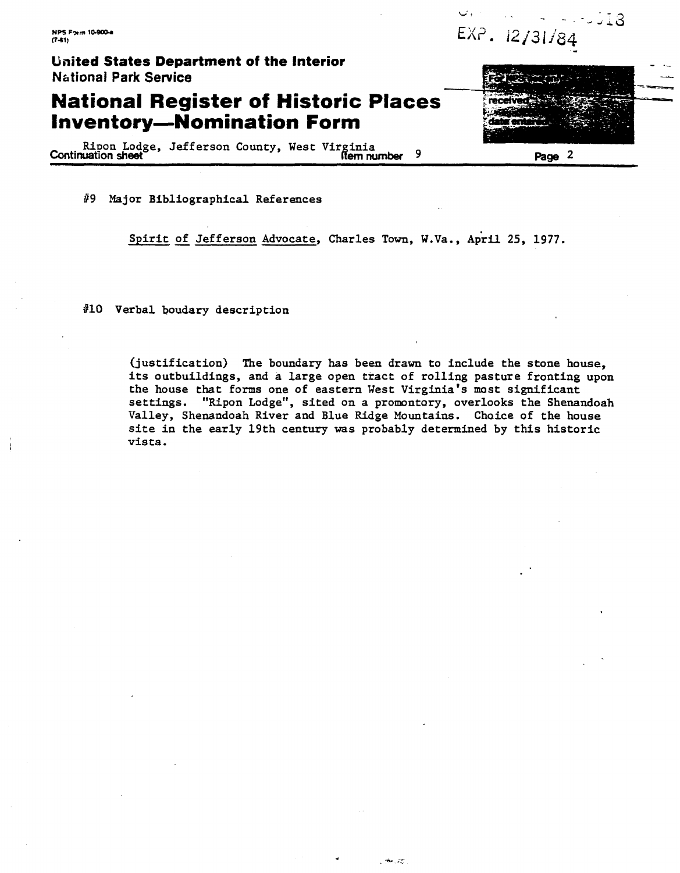**NPS Form 10-900-4**  $(7-81)$ 

 $\cup$ . 518 EXP. 12/31/84

**United States Department of the Interior Nbtionai Park Service** 

### **National Register of Historic Places Inventory-Nomination Form**

Ripon Lodge, Jefferson County, West Virginia **Continuation sheet 19** Page 2

#9 Major Bibliographicdl References

Spirit of Jefferson Advocate, Charles Town, W.Va., April 25, 1977.

**#lo** Verbal boudary description

(justification) The boundary has been drawn to include the stone house, its outbuildings, and a large open tract of rolling pasture fronting upon the house that forms one of eastern **West** Virginia's most significant settings. "Ripon Lodge", sited on a promontory, overlooks the Shenandoah Valley, Shenandoah River and Blue Ridge Mountains. Choice of the house site in the early 19th century **was** probably determined by this historic vista.

ಕ್ಕುವ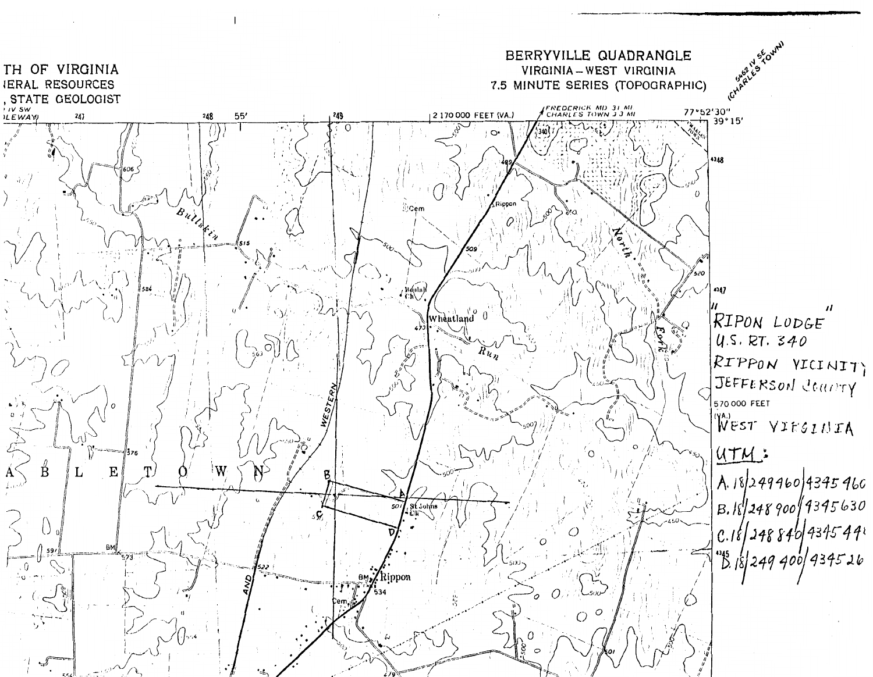